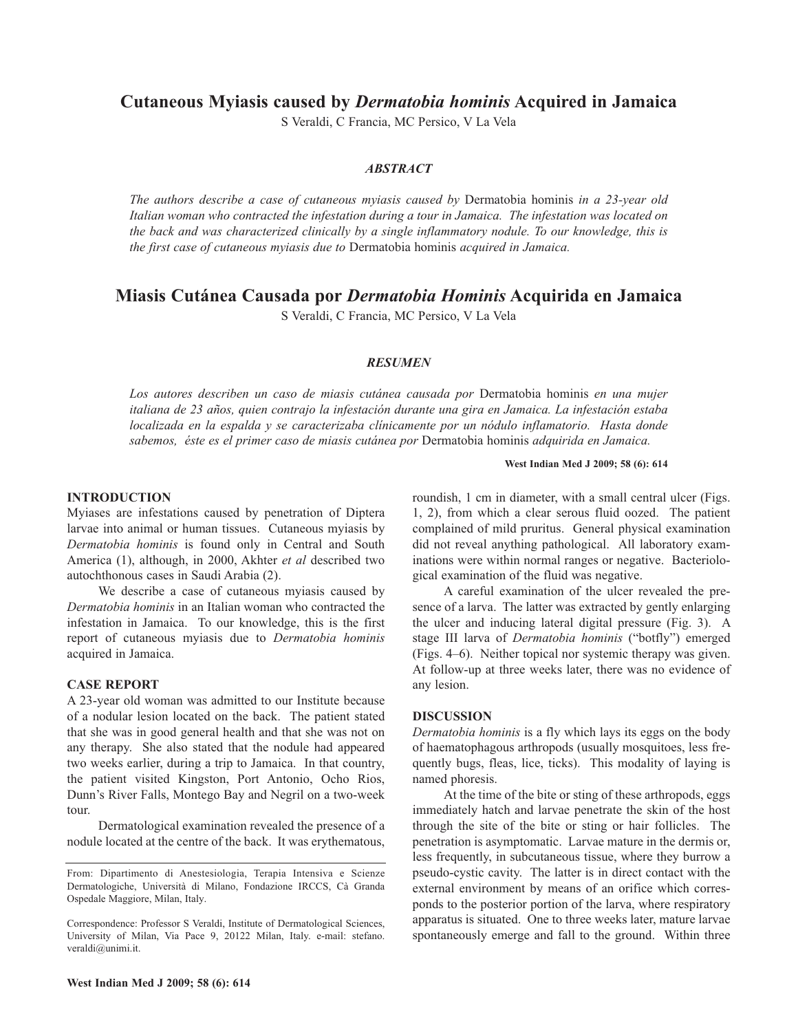**Cutaneous Myiasis caused by** *Dermatobia hominis* **Acquired in Jamaica**

S Veraldi, C Francia, MC Persico, V La Vela

# *ABSTRACT*

*The authors describe a case of cutaneous myiasis caused by* Dermatobia hominis *in a 23-year old Italian woman who contracted the infestation during a tour in Jamaica. The infestation was located on the back and was characterized clinically by a single inflammatory nodule. To our knowledge, this is the first case of cutaneous myiasis due to* Dermatobia hominis *acquired in Jamaica.*

# **Miasis Cutánea Causada por** *Dermatobia Hominis* **Acquirida en Jamaica**

S Veraldi, C Francia, MC Persico, V La Vela

#### *RESUME*

*Los autores describen un caso de miasis cutánea causada por* Dermatobia hominis *en una mujer italiana de 23 años, quien contrajo la infestación durante una gira en Jamaica. La infestación estaba localizada en la espalda y se caracterizaba clínicamente por un nódulo inflamatorio. Hasta donde sabemos, éste es el primer caso de miasis cutánea por* Dermatobia hominis *adquirida en Jamaica.*

#### **West Indian Med J 2009; 58 (6): 614**

## **INTRODUCTION**

Myiases are infestations caused by penetration of Diptera larvae into animal or human tissues. Cutaneous myiasis by *Dermatobia hominis* is found only in Central and South America (1), although, in 2000, Akhter *et al* described two autochthonous cases in Saudi Arabia (2).

We describe a case of cutaneous myiasis caused by *Dermatobia hominis* in an Italian woman who contracted the infestation in Jamaica. To our knowledge, this is the first report of cutaneous myiasis due to *Dermatobia hominis* acquired in Jamaica.

### **CASE REPORT**

A 23-year old woman was admitted to our Institute because of a nodular lesion located on the back. The patient stated that she was in good general health and that she was not on any therapy. She also stated that the nodule had appeared two weeks earlier, during a trip to Jamaica. In that country, the patient visited Kingston, Port Antonio, Ocho Rios, Dunn's River Falls, Montego Bay and Negril on a two-week tour.

Dermatological examination revealed the presence of a nodule located at the centre of the back. It was erythematous,

roundish, 1 cm in diameter, with a small central ulcer (Figs. 1, 2), from which a clear serous fluid oozed. The patient complained of mild pruritus. General physical examination did not reveal anything pathological. All laboratory examinations were within normal ranges or negative. Bacteriological examination of the fluid was negative.

A careful examination of the ulcer revealed the presence of a larva. The latter was extracted by gently enlarging the ulcer and inducing lateral digital pressure (Fig. 3). A stage III larva of *Dermatobia hominis* ("botfly") emerged (Figs. 4–6). Neither topical nor systemic therapy was given. At follow-up at three weeks later, there was no evidence of any lesion.

# **DISCUSSIO**

*Dermatobia hominis* is a fly which lays its eggs on the body of haematophagous arthropods (usually mosquitoes, less frequently bugs, fleas, lice, ticks). This modality of laying is named phoresis.

At the time of the bite or sting of these arthropods, eggs immediately hatch and larvae penetrate the skin of the host through the site of the bite or sting or hair follicles. The penetration is asymptomatic. Larvae mature in the dermis or, less frequently, in subcutaneous tissue, where they burrow a pseudo-cystic cavity. The latter is in direct contact with the external environment by means of an orifice which corresponds to the posterior portion of the larva, where respiratory apparatus is situated. One to three weeks later, mature larvae spontaneously emerge and fall to the ground. Within three

From: Dipartimento di Anestesiologia, Terapia Intensiva e Scienze Dermatologiche, Università di Milano, Fondazione IRCCS, Cà Granda Ospedale Maggiore, Milan, Italy.

Correspondence: Professor S Veraldi, Institute of Dermatological Sciences, University of Milan, Via Pace 9, 20122 Milan, Italy. e-mail: stefano. veraldi@unimi.it.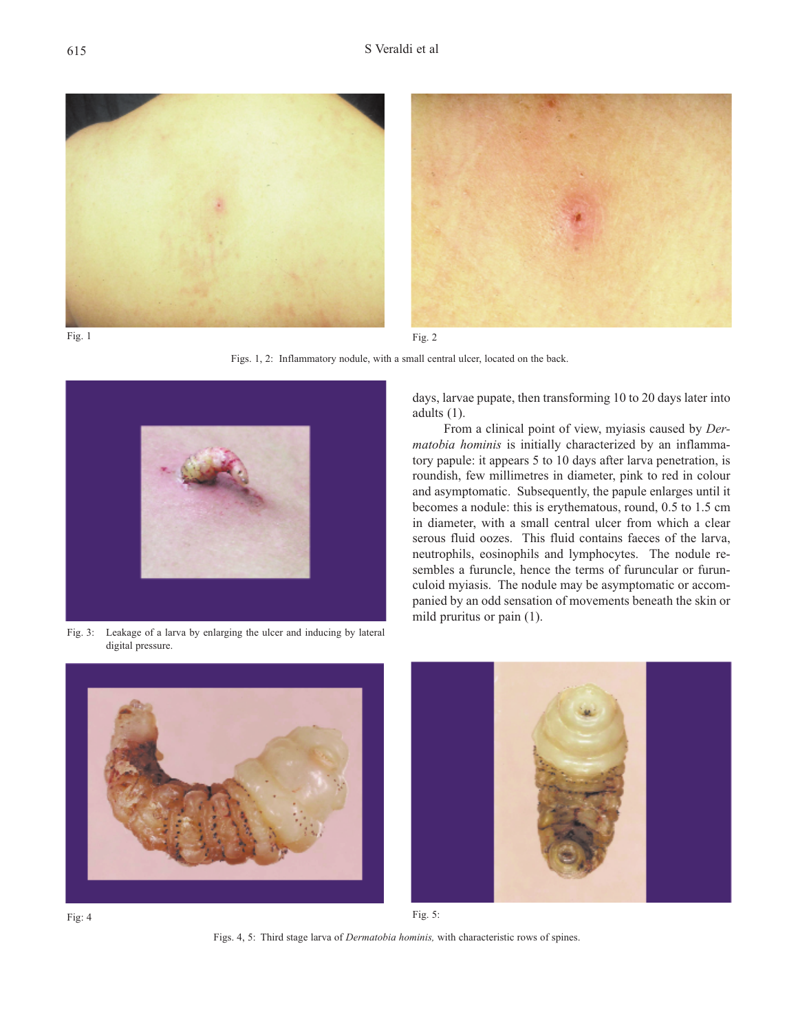





Figs. 1, 2: Inflammatory nodule, with a small central ulcer, located on the back.



Fig. 3: Leakage of a larva by enlarging the ulcer and inducing by lateral digital pressure.

days, larvae pupate, then transforming 10 to 20 days later into adults (1).

From a clinical point of view, myiasis caused by *Dermatobia hominis* is initially characterized by an inflammatory papule: it appears 5 to 10 days after larva penetration, is roundish, few millimetres in diameter, pink to red in colour and asymptomatic. Subsequently, the papule enlarges until it becomes a nodule: this is erythematous, round, 0.5 to 1.5 cm in diameter, with a small central ulcer from which a clear serous fluid oozes. This fluid contains faeces of the larva, neutrophils, eosinophils and lymphocytes. The nodule resembles a furuncle, hence the terms of furuncular or furunculoid myiasis. The nodule may be asymptomatic or accompanied by an odd sensation of movements beneath the skin or mild pruritus or pain (1).







Fig. 4  $Fig. 5:$ 

Figs. 4, 5: Third stage larva of *Dermatobia hominis,* with characteristic rows of spines.